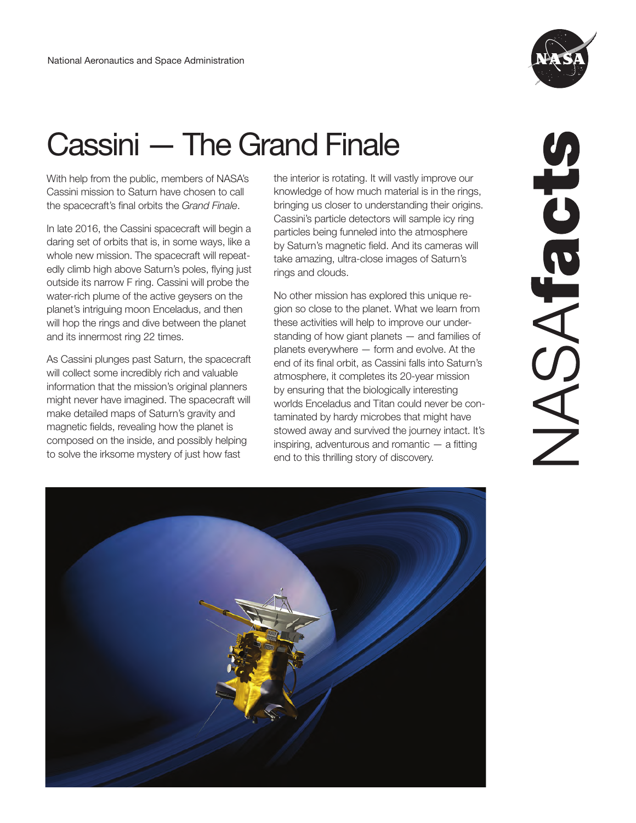

# Cassini — The Grand Finale

With help from the public, members of NASA's Cassini mission to Saturn have chosen to call the spacecraft's final orbits the *Grand Finale*.

In late 2016, the Cassini spacecraft will begin a daring set of orbits that is, in some ways, like a whole new mission. The spacecraft will repeatedly climb high above Saturn's poles, flying just outside its narrow F ring. Cassini will probe the water-rich plume of the active geysers on the planet's intriguing moon Enceladus, and then will hop the rings and dive between the planet and its innermost ring 22 times.

As Cassini plunges past Saturn, the spacecraft will collect some incredibly rich and valuable information that the mission's original planners might never have imagined. The spacecraft will make detailed maps of Saturn's gravity and magnetic fields, revealing how the planet is composed on the inside, and possibly helping to solve the irksome mystery of just how fast

the interior is rotating. It will vastly improve our knowledge of how much material is in the rings, bringing us closer to understanding their origins. Cassini's particle detectors will sample icy ring particles being funneled into the atmosphere by Saturn's magnetic field. And its cameras will take amazing, ultra-close images of Saturn's rings and clouds.

No other mission has explored this unique region so close to the planet. What we learn from these activities will help to improve our understanding of how giant planets — and families of planets everywhere — form and evolve. At the end of its final orbit, as Cassini falls into Saturn's atmosphere, it completes its 20-year mission by ensuring that the biologically interesting worlds Enceladus and Titan could never be contaminated by hardy microbes that might have stowed away and survived the journey intact. It's inspiring, adventurous and romantic — a fitting end to this thrilling story of discovery.



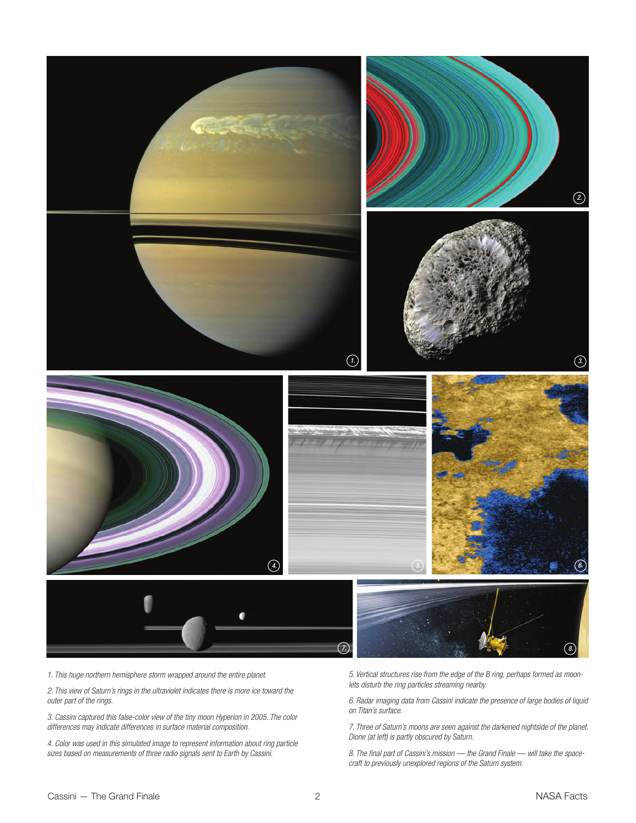

*1. This huge northern hemisphere storm wrapped around the entire planet.* 

*2. This view of Saturn's rings in the ultraviolet indicates there is more ice toward the outer part of the rings.* 

*3. Cassini captured this false-color view of the tiny moon Hyperion in 2005. The color differences may indicate differences in surface material composition.* 

*4. Color was used in this simulated image to represent information about ring particle sizes based on measurements of three radio signals sent to Earth by Cassini.* 

*5. Vertical structures rise from the edge of the B ring, perhaps formed as moonlets disturb the ring particles streaming nearby.* 

*6. Radar imaging data from Cassini indicate the presence of large bodies of liquid on Titan's surface.* 

*7. Three of Saturn's moons are seen against the darkened nightside of the planet.*<br>Dione (at left) is partly obscured by Saturn.

*8. The final part of Cassini's mission — the Grand Finale — will take the spacecraft to previously unexplored regions of the Saturn system.*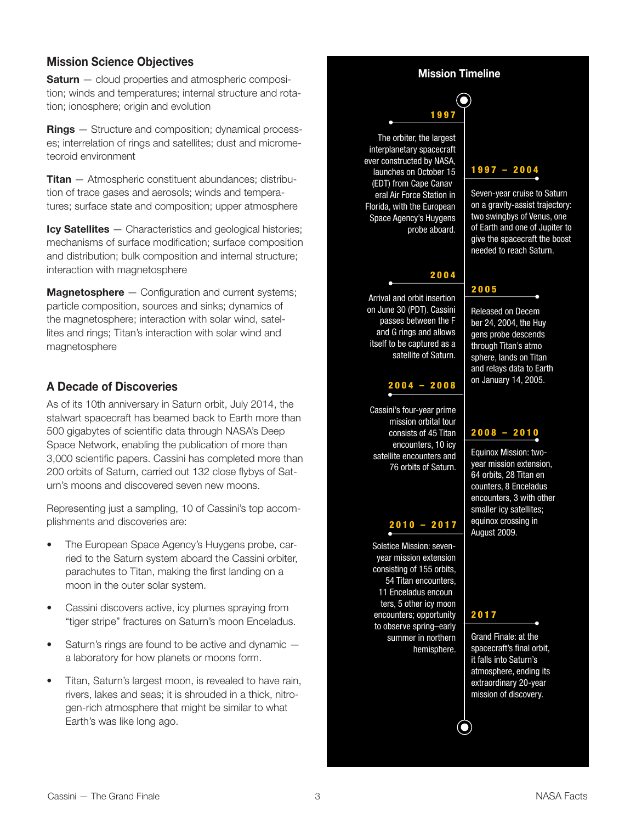#### **Mission Science Objectives**

**Saturn** – cloud properties and atmospheric composition; winds and temperatures; internal structure and rotation; ionosphere; origin and evolution

**Rings** — Structure and composition; dynamical processes; interrelation of rings and satellites; dust and micrometeoroid environment

**Titan** — Atmospheric constituent abundances; distribution of trace gases and aerosols; winds and temperatures; surface state and composition; upper atmosphere

**Icy Satellites** — Characteristics and geological histories; mechanisms of surface modification; surface composition and distribution; bulk composition and internal structure; interaction with magnetosphere

**Magnetosphere** – Configuration and current systems; particle composition, sources and sinks; dynamics of the magnetosphere; interaction with solar wind, satellites and rings; Titan's interaction with solar wind and magnetosphere

#### **A Decade of Discoveries**

As of its 10th anniversary in Saturn orbit, July 2014, the stalwart spacecraft has beamed back to Earth more than 500 gigabytes of scientific data through NASA's Deep Space Network, enabling the publication of more than 3,000 scientific papers. Cassini has completed more than 200 orbits of Saturn, carried out 132 close flybys of Saturn's moons and discovered seven new moons.

Representing just a sampling, 10 of Cassini's top accomplishments and discoveries are:

- The European Space Agency's Huygens probe, carried to the Saturn system aboard the Cassini orbiter, parachutes to Titan, making the first landing on a moon in the outer solar system.
- Cassini discovers active, icy plumes spraying from "tiger stripe" fractures on Saturn's moon Enceladus.
- Saturn's rings are found to be active and dynamic  $$ a laboratory for how planets or moons form.
- Titan, Saturn's largest moon, is revealed to have rain, rivers, lakes and seas; it is shrouded in a thick, nitrogen-rich atmosphere that might be similar to what Earth's was like long ago.

#### **Mission Timeline**

0

## 1997

(EDT) from Cape Canav The orbiter, the largest interplanetary spacecraft ever constructed by NASA, launches on October 15 eral Air Force Station in Florida, with the European Space Agency's Huygens probe aboard.

#### 2004

Arrival and orbit insertion on June 30 (PDT). Cassini passes between the F and G rings and allows itself to be captured as a satellite of Saturn.

#### 2004 – 2008

Cassini's four-year prime mission orbital tour consists of 45 Titan encounters, 10 icy satellite encounters and 76 orbits of Saturn.

#### 2010 – 2017

11 Enceladus encoun Solstice Mission: sevenyear mission extension consisting of 155 orbits, 54 Titan encounters, ters, 5 other icy moon encounters; opportunity to observe spring–early summer in northern hemisphere.

#### 1997 – 2004

Seven-year cruise to Saturn on a gravity-assist trajectory: two swingbys of Venus, one of Earth and one of Jupiter to give the spacecraft the boost needed to reach Saturn.

### 2005

Released on Decem through Titan's atmo Released on Decem<br>ber 24, 2004, the Huy<br>gens probe descends sphere, lands on Titan and relays data to Earth on January 14, 2005.

#### 2008 – 2010

64 orbits, 28 Titan en Equinox Mission: twoyear mission extension, counters, 8 Enceladus encounters, 3 with other smaller icy satellites; equinox crossing in August 2009.

#### 2017

Grand Finale: at the spacecraft's final orbit, it falls into Saturn's atmosphere, ending its extraordinary 20-year mission of discovery.